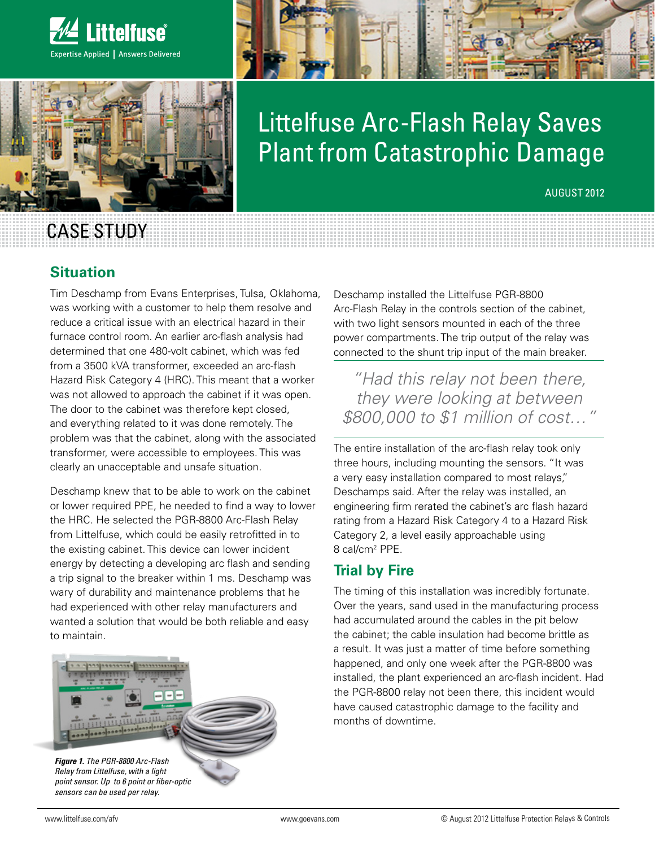





# Littelfuse Arc-Flash Relay Saves Plant from Catastrophic Damage

#### August 2012

# Case Study

#### **Situation**

Tim Deschamp from Evans Enterprises, Tulsa, Oklahoma, was working with a customer to help them resolve and reduce a critical issue with an electrical hazard in their furnace control room. An earlier arc-flash analysis had determined that one 480-volt cabinet, which was fed from a 3500 kVA transformer, exceeded an arc-flash Hazard Risk Category 4 (HRC). This meant that a worker was not allowed to approach the cabinet if it was open. The door to the cabinet was therefore kept closed, and everything related to it was done remotely. The problem was that the cabinet, along with the associated transformer, were accessible to employees. This was clearly an unacceptable and unsafe situation.

Deschamp knew that to be able to work on the cabinet or lower required PPE, he needed to find a way to lower the HRC. He selected the PGR-8800 Arc-Flash Relay from Littelfuse, which could be easily retrofitted in to the existing cabinet. This device can lower incident energy by detecting a developing arc flash and sending a trip signal to the breaker within 1 ms. Deschamp was wary of durability and maintenance problems that he had experienced with other relay manufacturers and wanted a solution that would be both reliable and easy to maintain.



*Relay from Littelfuse, with a light point sensor. Up to 6 point or fiber-optic sensors can be used per relay.*

Deschamp installed the Littelfuse PGR-8800 Arc-Flash Relay in the controls section of the cabinet, with two light sensors mounted in each of the three power compartments. The trip output of the relay was connected to the shunt trip input of the main breaker.

*"Had this relay not been there, they were looking at between \$800,000 to \$1 million of cost…"*

The entire installation of the arc-flash relay took only three hours, including mounting the sensors. "It was a very easy installation compared to most relays," Deschamps said. After the relay was installed, an engineering firm rerated the cabinet's arc flash hazard rating from a Hazard Risk Category 4 to a Hazard Risk Category 2, a level easily approachable using 8 cal/cm2 PPE.

## **Trial by Fire**

The timing of this installation was incredibly fortunate. Over the years, sand used in the manufacturing process had accumulated around the cables in the pit below the cabinet; the cable insulation had become brittle as a result. It was just a matter of time before something happened, and only one week after the PGR-8800 was installed, the plant experienced an arc-flash incident. Had the PGR-8800 relay not been there, this incident would have caused catastrophic damage to the facility and months of downtime.